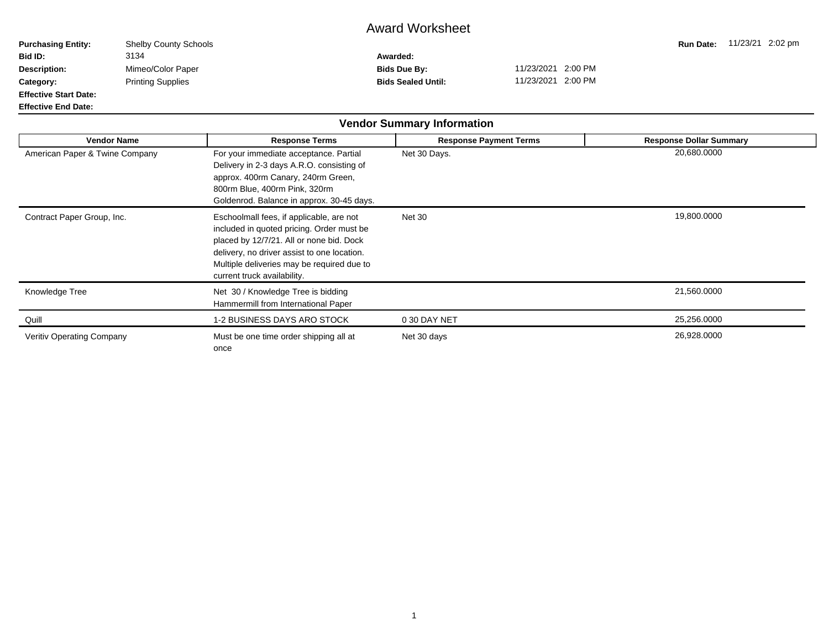## Award Worksheet

| <b>Purchasing Entity:</b>    | <b>Shelby County Schools</b> |                           |                    | <b>Run Date:</b> | 11/23/21 2:02 pm |  |
|------------------------------|------------------------------|---------------------------|--------------------|------------------|------------------|--|
| <b>Bid ID:</b>               | 3134                         | Awarded:                  |                    |                  |                  |  |
| <b>Description:</b>          | Mimeo/Color Paper            | Bids Due By:              | 11/23/2021 2:00 PM |                  |                  |  |
| Category:                    | <b>Printing Supplies</b>     | <b>Bids Sealed Until:</b> | 11/23/2021 2:00 PM |                  |                  |  |
| <b>Effective Start Date:</b> |                              |                           |                    |                  |                  |  |
| <b>Effective End Date:</b>   |                              |                           |                    |                  |                  |  |

|                                  |                                                                                                                                                                                                                                                               | <b>Vendor Summary Information</b> |                                |
|----------------------------------|---------------------------------------------------------------------------------------------------------------------------------------------------------------------------------------------------------------------------------------------------------------|-----------------------------------|--------------------------------|
| <b>Vendor Name</b>               | <b>Response Terms</b>                                                                                                                                                                                                                                         | <b>Response Payment Terms</b>     | <b>Response Dollar Summary</b> |
| American Paper & Twine Company   | For your immediate acceptance. Partial<br>Delivery in 2-3 days A.R.O. consisting of<br>approx. 400rm Canary, 240rm Green,<br>800rm Blue, 400rm Pink, 320rm<br>Goldenrod. Balance in approx. 30-45 days.                                                       | Net 30 Days.                      | 20,680.0000                    |
| Contract Paper Group, Inc.       | Eschoolmall fees, if applicable, are not<br>included in quoted pricing. Order must be<br>placed by 12/7/21. All or none bid. Dock<br>delivery, no driver assist to one location.<br>Multiple deliveries may be required due to<br>current truck availability. | <b>Net 30</b>                     | 19,800.0000                    |
| Knowledge Tree                   | Net 30 / Knowledge Tree is bidding<br>Hammermill from International Paper                                                                                                                                                                                     |                                   | 21,560.0000                    |
| Quill                            | 1-2 BUSINESS DAYS ARO STOCK                                                                                                                                                                                                                                   | 0 30 DAY NET                      | 25,256.0000                    |
| <b>Veritiv Operating Company</b> | Must be one time order shipping all at<br>once                                                                                                                                                                                                                | Net 30 days                       | 26,928.0000                    |

 $\blacksquare$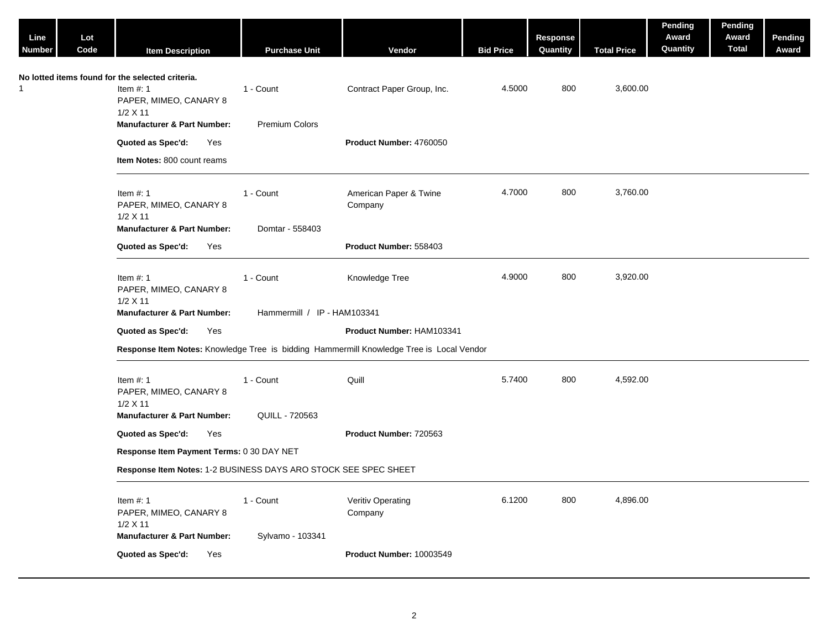| Line<br>Number | Lot<br>Code | <b>Item Description</b>                                                                                 | <b>Purchase Unit</b>         | Vendor                                                                                   | <b>Bid Price</b> | <b>Response</b><br>Quantity | <b>Total Price</b> | Pending<br>Award<br>Quantity | Pending<br>Award<br><b>Total</b> | Pending<br>Award |
|----------------|-------------|---------------------------------------------------------------------------------------------------------|------------------------------|------------------------------------------------------------------------------------------|------------------|-----------------------------|--------------------|------------------------------|----------------------------------|------------------|
|                |             | No lotted items found for the selected criteria.<br>Item $#: 1$<br>PAPER, MIMEO, CANARY 8<br>$1/2$ X 11 | 1 - Count                    | Contract Paper Group, Inc.                                                               | 4.5000           | 800                         | 3,600.00           |                              |                                  |                  |
|                |             | <b>Manufacturer &amp; Part Number:</b>                                                                  | Premium Colors               |                                                                                          |                  |                             |                    |                              |                                  |                  |
|                |             | Quoted as Spec'd:<br>Yes                                                                                |                              | Product Number: 4760050                                                                  |                  |                             |                    |                              |                                  |                  |
|                |             | Item Notes: 800 count reams                                                                             |                              |                                                                                          |                  |                             |                    |                              |                                  |                  |
|                |             | Item $#: 1$<br>PAPER, MIMEO, CANARY 8<br>$1/2$ X 11<br><b>Manufacturer &amp; Part Number:</b>           | 1 - Count<br>Domtar - 558403 | American Paper & Twine<br>Company                                                        | 4.7000           | 800                         | 3,760.00           |                              |                                  |                  |
|                |             | Quoted as Spec'd:<br>Yes                                                                                |                              | Product Number: 558403                                                                   |                  |                             |                    |                              |                                  |                  |
|                |             | Item $#: 1$                                                                                             | 1 - Count                    | Knowledge Tree                                                                           | 4.9000           | 800                         | 3,920.00           |                              |                                  |                  |
|                |             | PAPER, MIMEO, CANARY 8<br>$1/2$ X 11<br><b>Manufacturer &amp; Part Number:</b>                          | Hammermill / IP - HAM103341  |                                                                                          |                  |                             |                    |                              |                                  |                  |
|                |             |                                                                                                         |                              | Product Number: HAM103341                                                                |                  |                             |                    |                              |                                  |                  |
|                |             | Quoted as Spec'd:<br>Yes                                                                                |                              |                                                                                          |                  |                             |                    |                              |                                  |                  |
|                |             |                                                                                                         |                              | Response Item Notes: Knowledge Tree is bidding Hammermill Knowledge Tree is Local Vendor |                  |                             |                    |                              |                                  |                  |
|                |             | Item $#: 1$<br>PAPER, MIMEO, CANARY 8<br>$1/2$ X 11                                                     | 1 - Count                    | Quill                                                                                    | 5.7400           | 800                         | 4,592.00           |                              |                                  |                  |
|                |             | <b>Manufacturer &amp; Part Number:</b>                                                                  | QUILL - 720563               |                                                                                          |                  |                             |                    |                              |                                  |                  |
|                |             | Quoted as Spec'd:<br>Yes                                                                                |                              | Product Number: 720563                                                                   |                  |                             |                    |                              |                                  |                  |
|                |             | Response Item Payment Terms: 0 30 DAY NET                                                               |                              |                                                                                          |                  |                             |                    |                              |                                  |                  |
|                |             | Response Item Notes: 1-2 BUSINESS DAYS ARO STOCK SEE SPEC SHEET                                         |                              |                                                                                          |                  |                             |                    |                              |                                  |                  |
|                |             | Item $#: 1$<br>PAPER, MIMEO, CANARY 8<br>1/2 X 11                                                       | 1 - Count                    | Veritiv Operating<br>Company                                                             | 6.1200           | 800                         | 4,896.00           |                              |                                  |                  |
|                |             | <b>Manufacturer &amp; Part Number:</b>                                                                  | Sylvamo - 103341             |                                                                                          |                  |                             |                    |                              |                                  |                  |
|                |             | Quoted as Spec'd:<br>Yes                                                                                |                              | Product Number: 10003549                                                                 |                  |                             |                    |                              |                                  |                  |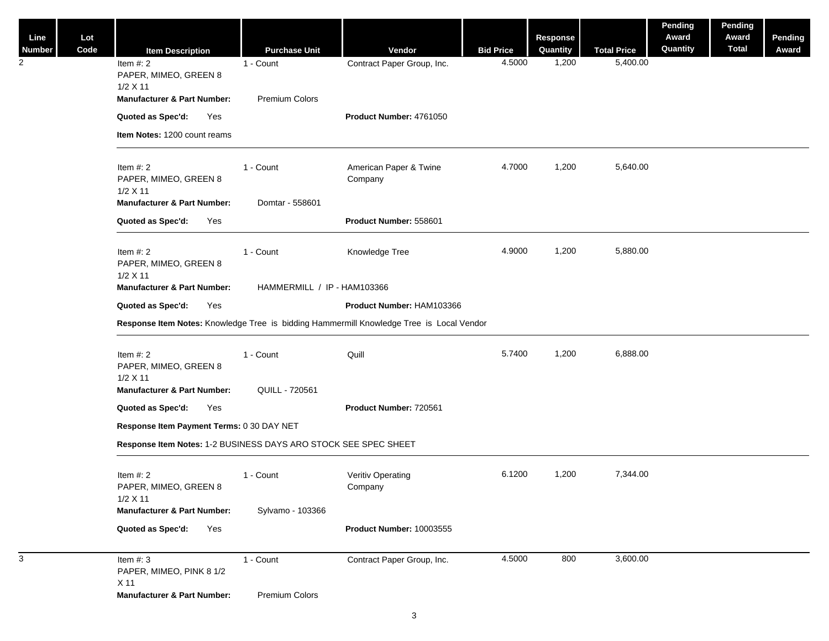| Line<br><b>Number</b> | Lot<br>Code | <b>Item Description</b>                                                                    | <b>Purchase Unit</b>          | Vendor                                                                                   | <b>Bid Price</b> | Response<br>Quantity | <b>Total Price</b> | Pending<br>Award<br>Quantity | Pending<br>Award<br><b>Total</b> | <b>Pending</b><br>Award |  |
|-----------------------|-------------|--------------------------------------------------------------------------------------------|-------------------------------|------------------------------------------------------------------------------------------|------------------|----------------------|--------------------|------------------------------|----------------------------------|-------------------------|--|
| 2                     |             | Item $#: 2$<br>PAPER, MIMEO, GREEN 8<br>$1/2$ X 11                                         | 1 - Count                     | Contract Paper Group, Inc.                                                               | 4.5000           | 1,200                | 5,400.00           |                              |                                  |                         |  |
|                       |             | <b>Manufacturer &amp; Part Number:</b>                                                     | Premium Colors                |                                                                                          |                  |                      |                    |                              |                                  |                         |  |
|                       |             | Quoted as Spec'd:<br>Yes                                                                   |                               | Product Number: 4761050                                                                  |                  |                      |                    |                              |                                  |                         |  |
|                       |             | Item Notes: 1200 count reams                                                               |                               |                                                                                          |                  |                      |                    |                              |                                  |                         |  |
|                       |             | Item $#: 2$<br>PAPER, MIMEO, GREEN 8<br>$1/2$ X 11                                         | 1 - Count                     | American Paper & Twine<br>Company                                                        | 4.7000           | 1,200                | 5,640.00           |                              |                                  |                         |  |
|                       |             | <b>Manufacturer &amp; Part Number:</b>                                                     | Domtar - 558601               |                                                                                          |                  |                      |                    |                              |                                  |                         |  |
|                       |             | Quoted as Spec'd:<br>Yes                                                                   |                               | Product Number: 558601                                                                   |                  |                      |                    |                              |                                  |                         |  |
|                       |             | Item $#: 2$<br>PAPER, MIMEO, GREEN 8<br>$1/2$ X 11                                         | 1 - Count                     | Knowledge Tree                                                                           | 4.9000           | 1,200                | 5,880.00           |                              |                                  |                         |  |
|                       |             | <b>Manufacturer &amp; Part Number:</b>                                                     | HAMMERMILL / IP - HAM103366   |                                                                                          |                  |                      |                    |                              |                                  |                         |  |
|                       |             | Quoted as Spec'd:<br>Yes                                                                   |                               | Product Number: HAM103366                                                                |                  |                      |                    |                              |                                  |                         |  |
|                       |             |                                                                                            |                               | Response Item Notes: Knowledge Tree is bidding Hammermill Knowledge Tree is Local Vendor |                  |                      |                    |                              |                                  |                         |  |
|                       |             | Item $#: 2$<br>PAPER, MIMEO, GREEN 8<br>$1/2$ X 11                                         | 1 - Count                     | Quill                                                                                    | 5.7400           | 1,200                | 6,888.00           |                              |                                  |                         |  |
|                       |             | <b>Manufacturer &amp; Part Number:</b>                                                     | QUILL - 720561                |                                                                                          |                  |                      |                    |                              |                                  |                         |  |
|                       |             | Quoted as Spec'd:<br>Yes                                                                   |                               | Product Number: 720561                                                                   |                  |                      |                    |                              |                                  |                         |  |
|                       |             | Response Item Payment Terms: 0 30 DAY NET                                                  |                               |                                                                                          |                  |                      |                    |                              |                                  |                         |  |
|                       |             | Response Item Notes: 1-2 BUSINESS DAYS ARO STOCK SEE SPEC SHEET                            |                               |                                                                                          |                  |                      |                    |                              |                                  |                         |  |
|                       |             | Item $#: 2$<br>PAPER, MIMEO, GREEN 8<br>1/2 X 11<br><b>Manufacturer &amp; Part Number:</b> | 1 - Count<br>Sylvamo - 103366 | Veritiv Operating<br>Company                                                             | 6.1200           | 1,200                | 7,344.00           |                              |                                  |                         |  |
|                       |             | Quoted as Spec'd:<br>Yes                                                                   |                               | Product Number: 10003555                                                                 |                  |                      |                    |                              |                                  |                         |  |
| 3                     |             | Item $#: 3$<br>PAPER, MIMEO, PINK 8 1/2<br>X 11                                            | 1 - Count                     | Contract Paper Group, Inc.                                                               | 4.5000           | 800                  | 3,600.00           |                              |                                  |                         |  |
|                       |             | <b>Manufacturer &amp; Part Number:</b>                                                     | Premium Colors                |                                                                                          |                  |                      |                    |                              |                                  |                         |  |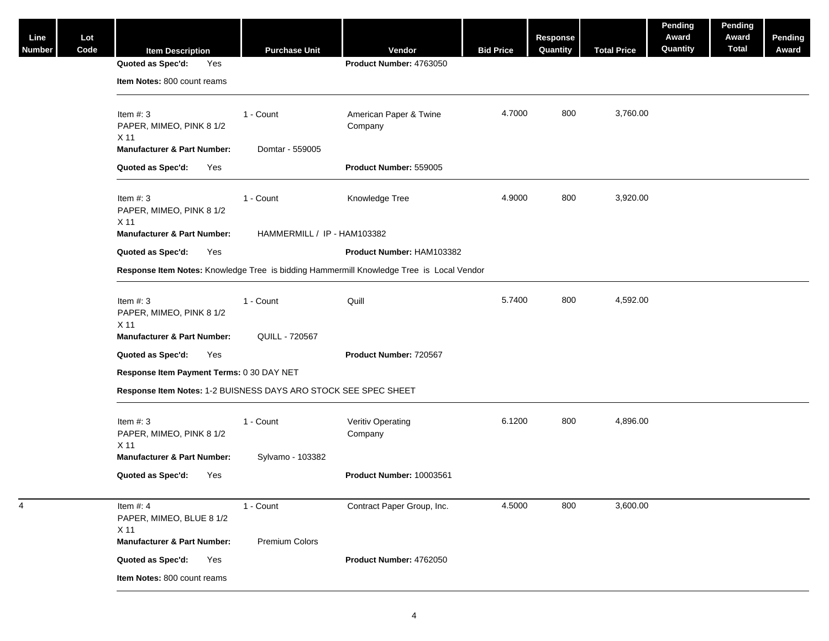| Line<br>Number | Lot<br>Code | <b>Item Description</b>                                         | <b>Purchase Unit</b>        | Vendor                                                                                   | <b>Bid Price</b> | Response<br>Quantity | <b>Total Price</b> | Pending<br>Award<br>Quantity | Pending<br>Award<br><b>Total</b> | <b>Pending</b><br>Award |  |  |
|----------------|-------------|-----------------------------------------------------------------|-----------------------------|------------------------------------------------------------------------------------------|------------------|----------------------|--------------------|------------------------------|----------------------------------|-------------------------|--|--|
|                |             | Quoted as Spec'd:<br>Yes                                        |                             | Product Number: 4763050                                                                  |                  |                      |                    |                              |                                  |                         |  |  |
|                |             | Item Notes: 800 count reams                                     |                             |                                                                                          |                  |                      |                    |                              |                                  |                         |  |  |
|                |             | Item $#: 3$<br>PAPER, MIMEO, PINK 8 1/2<br>X 11                 | 1 - Count                   | American Paper & Twine<br>Company                                                        | 4.7000           | 800                  | 3,760.00           |                              |                                  |                         |  |  |
|                |             | <b>Manufacturer &amp; Part Number:</b>                          | Domtar - 559005             |                                                                                          |                  |                      |                    |                              |                                  |                         |  |  |
|                |             | Quoted as Spec'd:<br>Yes                                        |                             | Product Number: 559005                                                                   |                  |                      |                    |                              |                                  |                         |  |  |
|                |             | Item $#: 3$<br>PAPER, MIMEO, PINK 8 1/2<br>X 11                 | 1 - Count                   | Knowledge Tree                                                                           | 4.9000           | 800                  | 3,920.00           |                              |                                  |                         |  |  |
|                |             | <b>Manufacturer &amp; Part Number:</b>                          | HAMMERMILL / IP - HAM103382 |                                                                                          |                  |                      |                    |                              |                                  |                         |  |  |
|                |             | Quoted as Spec'd:<br>Yes                                        |                             | Product Number: HAM103382                                                                |                  |                      |                    |                              |                                  |                         |  |  |
|                |             |                                                                 |                             | Response Item Notes: Knowledge Tree is bidding Hammermill Knowledge Tree is Local Vendor |                  |                      |                    |                              |                                  |                         |  |  |
|                |             |                                                                 |                             |                                                                                          |                  |                      |                    |                              |                                  |                         |  |  |
|                |             | Item $#: 3$<br>PAPER, MIMEO, PINK 8 1/2<br>X 11                 | 1 - Count                   | Quill                                                                                    | 5.7400           | 800                  | 4,592.00           |                              |                                  |                         |  |  |
|                |             | <b>Manufacturer &amp; Part Number:</b>                          | <b>QUILL - 720567</b>       |                                                                                          |                  |                      |                    |                              |                                  |                         |  |  |
|                |             | Quoted as Spec'd:<br>Yes                                        |                             | Product Number: 720567                                                                   |                  |                      |                    |                              |                                  |                         |  |  |
|                |             | Response Item Payment Terms: 0 30 DAY NET                       |                             |                                                                                          |                  |                      |                    |                              |                                  |                         |  |  |
|                |             | Response Item Notes: 1-2 BUISNESS DAYS ARO STOCK SEE SPEC SHEET |                             |                                                                                          |                  |                      |                    |                              |                                  |                         |  |  |
|                |             | Item $#: 3$<br>PAPER, MIMEO, PINK 8 1/2<br>X 11                 | 1 - Count                   | Veritiv Operating<br>Company                                                             | 6.1200           | 800                  | 4,896.00           |                              |                                  |                         |  |  |
|                |             | <b>Manufacturer &amp; Part Number:</b>                          | Sylvamo - 103382            |                                                                                          |                  |                      |                    |                              |                                  |                         |  |  |
|                |             | Quoted as Spec'd:<br>Yes                                        |                             | Product Number: 10003561                                                                 |                  |                      |                    |                              |                                  |                         |  |  |
| 4              |             | Item $#: 4$<br>PAPER, MIMEO, BLUE 8 1/2<br>X 11                 | 1 - Count                   | Contract Paper Group, Inc.                                                               | 4.5000           | 800                  | 3,600.00           |                              |                                  |                         |  |  |
|                |             | <b>Manufacturer &amp; Part Number:</b>                          | Premium Colors              |                                                                                          |                  |                      |                    |                              |                                  |                         |  |  |
|                |             | Quoted as Spec'd:<br>Yes                                        |                             | Product Number: 4762050                                                                  |                  |                      |                    |                              |                                  |                         |  |  |
|                |             | Item Notes: 800 count reams                                     |                             |                                                                                          |                  |                      |                    |                              |                                  |                         |  |  |
|                |             |                                                                 |                             |                                                                                          |                  |                      |                    |                              |                                  |                         |  |  |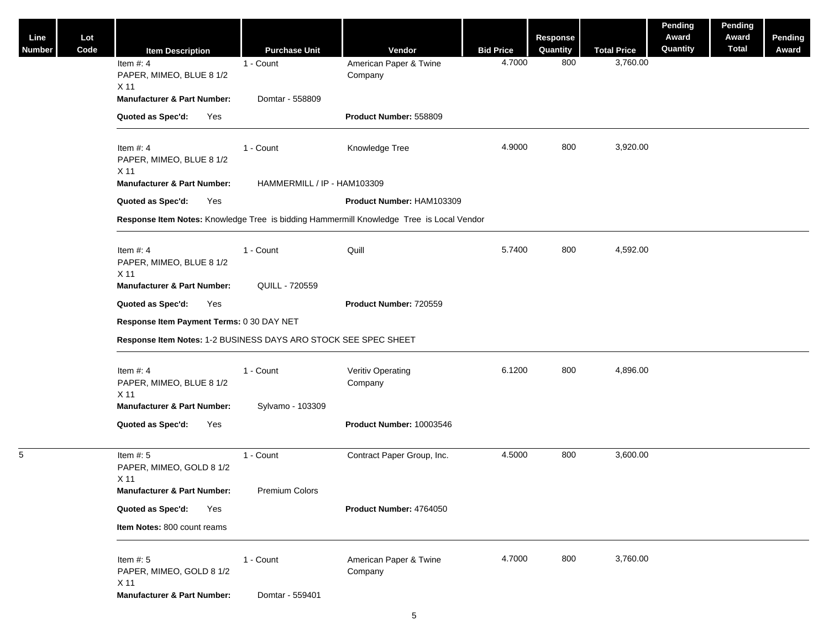| Line<br><b>Number</b> | Lot<br>Code | <b>Item Description</b>                                                                  | <b>Purchase Unit</b>        | Vendor                            | <b>Bid Price</b> | <b>Response</b><br>Quantity | <b>Total Price</b> | Pending<br>Award<br>Quantity | Pending<br>Award<br><b>Total</b> | Pending<br>Award |  |
|-----------------------|-------------|------------------------------------------------------------------------------------------|-----------------------------|-----------------------------------|------------------|-----------------------------|--------------------|------------------------------|----------------------------------|------------------|--|
|                       |             | Item $#: 4$<br>PAPER, MIMEO, BLUE 8 1/2<br>X 11                                          | 1 - Count                   | American Paper & Twine<br>Company | 4.7000           | 800                         | 3,760.00           |                              |                                  |                  |  |
|                       |             | <b>Manufacturer &amp; Part Number:</b>                                                   | Domtar - 558809             |                                   |                  |                             |                    |                              |                                  |                  |  |
|                       |             | Quoted as Spec'd:<br>Yes                                                                 |                             | Product Number: 558809            |                  |                             |                    |                              |                                  |                  |  |
|                       |             | Item $#: 4$<br>PAPER, MIMEO, BLUE 8 1/2<br>X 11                                          | 1 - Count                   | Knowledge Tree                    | 4.9000           | 800                         | 3,920.00           |                              |                                  |                  |  |
|                       |             | <b>Manufacturer &amp; Part Number:</b>                                                   | HAMMERMILL / IP - HAM103309 |                                   |                  |                             |                    |                              |                                  |                  |  |
|                       |             | Quoted as Spec'd:<br>Yes                                                                 |                             | Product Number: HAM103309         |                  |                             |                    |                              |                                  |                  |  |
|                       |             | Response Item Notes: Knowledge Tree is bidding Hammermill Knowledge Tree is Local Vendor |                             |                                   |                  |                             |                    |                              |                                  |                  |  |
|                       |             | Item $#: 4$<br>PAPER, MIMEO, BLUE 8 1/2<br>X 11                                          | 1 - Count                   | Quill                             | 5.7400           | 800                         | 4,592.00           |                              |                                  |                  |  |
|                       |             | <b>Manufacturer &amp; Part Number:</b>                                                   | QUILL - 720559              |                                   |                  |                             |                    |                              |                                  |                  |  |
|                       |             | Quoted as Spec'd:<br>Yes                                                                 |                             | Product Number: 720559            |                  |                             |                    |                              |                                  |                  |  |
|                       |             | Response Item Payment Terms: 0 30 DAY NET                                                |                             |                                   |                  |                             |                    |                              |                                  |                  |  |
|                       |             | Response Item Notes: 1-2 BUSINESS DAYS ARO STOCK SEE SPEC SHEET                          |                             |                                   |                  |                             |                    |                              |                                  |                  |  |
|                       |             | Item $#: 4$<br>PAPER, MIMEO, BLUE 8 1/2<br>X 11                                          | 1 - Count                   | Veritiv Operating<br>Company      | 6.1200           | 800                         | 4,896.00           |                              |                                  |                  |  |
|                       |             | <b>Manufacturer &amp; Part Number:</b>                                                   | Sylvamo - 103309            |                                   |                  |                             |                    |                              |                                  |                  |  |
|                       |             | Quoted as Spec'd:<br>Yes                                                                 |                             | Product Number: 10003546          |                  |                             |                    |                              |                                  |                  |  |
| 5                     |             | Item $#: 5$<br>PAPER, MIMEO, GOLD 8 1/2<br>X 11                                          | 1 - Count                   | Contract Paper Group, Inc.        | 4.5000           | 800                         | 3,600.00           |                              |                                  |                  |  |
|                       |             | <b>Manufacturer &amp; Part Number:</b>                                                   | Premium Colors              |                                   |                  |                             |                    |                              |                                  |                  |  |
|                       |             | Quoted as Spec'd:<br>Yes                                                                 |                             | Product Number: 4764050           |                  |                             |                    |                              |                                  |                  |  |
|                       |             | Item Notes: 800 count reams                                                              |                             |                                   |                  |                             |                    |                              |                                  |                  |  |
|                       |             | Item $#: 5$<br>PAPER, MIMEO, GOLD 8 1/2<br>X 11                                          | 1 - Count                   | American Paper & Twine<br>Company | 4.7000           | 800                         | 3,760.00           |                              |                                  |                  |  |
|                       |             | <b>Manufacturer &amp; Part Number:</b>                                                   | Domtar - 559401             |                                   |                  |                             |                    |                              |                                  |                  |  |